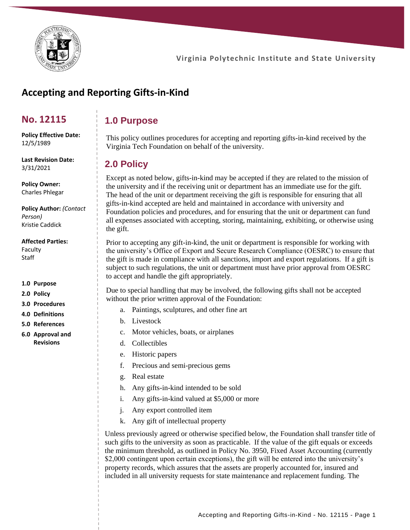

**Virginia Polytechnic Institute and State University**

# **Accepting and Reporting Gifts-in-Kind**

### **No. 12115**

12/5/1989

3/31/2021

**Policy Effective Date:**

**Last Revision Date:**

**1.0 Purpose**

This policy outlines procedures for accepting and reporting gifts-in-kind received by the Virginia Tech Foundation on behalf of the university.

### **2.0 Policy**

Except as noted below, gifts-in-kind may be accepted if they are related to the mission of the university and if the receiving unit or department has an immediate use for the gift. The head of the unit or department receiving the gift is responsible for ensuring that all gifts-in-kind accepted are held and maintained in accordance with university and Foundation policies and procedures, and for ensuring that the unit or department can fund all expenses associated with accepting, storing, maintaining, exhibiting, or otherwise using the gift.

Prior to accepting any gift-in-kind, the unit or department is responsible for working with the university's Office of Export and Secure Research Compliance (OESRC) to ensure that the gift is made in compliance with all sanctions, import and export regulations. If a gift is subject to such regulations, the unit or department must have prior approval from OESRC to accept and handle the gift appropriately.

Due to special handling that may be involved, the following gifts shall not be accepted without the prior written approval of the Foundation:

- a. Paintings, sculptures, and other fine art
- b. Livestock
- c. Motor vehicles, boats, or airplanes
- d. Collectibles
- e. Historic papers
- f. Precious and semi-precious gems
- g. Real estate
- h. Any gifts-in-kind intended to be sold
- i. Any gifts-in-kind valued at \$5,000 or more
- j. Any export controlled item
- k. Any gift of intellectual property

Unless previously agreed or otherwise specified below, the Foundation shall transfer title of such gifts to the university as soon as practicable. If the value of the gift equals or exceeds the minimum threshold, as outlined in Policy No. 3950, Fixed Asset Accounting (currently \$2,000 contingent upon certain exceptions), the gift will be entered into the university's property records, which assures that the assets are properly accounted for, insured and included in all university requests for state maintenance and replacement funding. The

### Charles Phlegar **Policy Author:** *(Contact*

**Policy Owner:**

*Person)* Kristie Caddick

#### **Affected Parties:**

Faculty Staff

- **1.0 Purpose**
- **2.0 Policy**
- **3.0 Procedures**
- **4.0 Definitions**
- **5.0 References**
- **6.0 Approval and Revisions**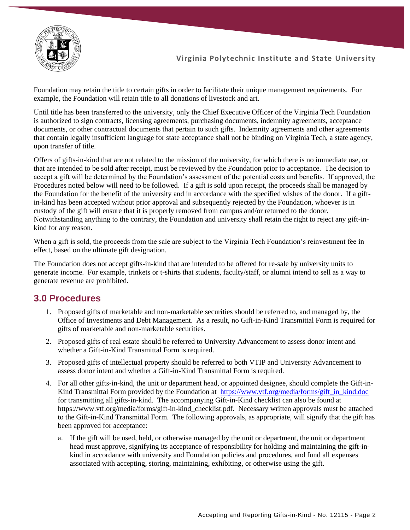Foundation may retain the title to certain gifts in order to facilitate their unique management requirements. For example, the Foundation will retain title to all donations of livestock and art.

Until title has been transferred to the university, only the Chief Executive Officer of the Virginia Tech Foundation is authorized to sign contracts, licensing agreements, purchasing documents, indemnity agreements, acceptance documents, or other contractual documents that pertain to such gifts. Indemnity agreements and other agreements that contain legally insufficient language for state acceptance shall not be binding on Virginia Tech, a state agency, upon transfer of title.

Offers of gifts-in-kind that are not related to the mission of the university, for which there is no immediate use, or that are intended to be sold after receipt, must be reviewed by the Foundation prior to acceptance. The decision to accept a gift will be determined by the Foundation's assessment of the potential costs and benefits. If approved, the Procedures noted below will need to be followed. If a gift is sold upon receipt, the proceeds shall be managed by the Foundation for the benefit of the university and in accordance with the specified wishes of the donor. If a giftin-kind has been accepted without prior approval and subsequently rejected by the Foundation, whoever is in custody of the gift will ensure that it is properly removed from campus and/or returned to the donor. Notwithstanding anything to the contrary, the Foundation and university shall retain the right to reject any gift-inkind for any reason.

When a gift is sold, the proceeds from the sale are subject to the Virginia Tech Foundation's reinvestment fee in effect, based on the ultimate gift designation.

The Foundation does not accept gifts-in-kind that are intended to be offered for re-sale by university units to generate income. For example, trinkets or t-shirts that students, faculty/staff, or alumni intend to sell as a way to generate revenue are prohibited.

## **3.0 Procedures**

- 1. Proposed gifts of marketable and non-marketable securities should be referred to, and managed by, the Office of Investments and Debt Management. As a result, no Gift-in-Kind Transmittal Form is required for gifts of marketable and non-marketable securities.
- 2. Proposed gifts of real estate should be referred to University Advancement to assess donor intent and whether a Gift-in-Kind Transmittal Form is required.
- 3. Proposed gifts of intellectual property should be referred to both VTIP and University Advancement to assess donor intent and whether a Gift-in-Kind Transmittal Form is required.
- 4. For all other gifts-in-kind, the unit or department head, or appointed designee, should complete the Gift-inKind Transmittal Form provided by the Foundation at [https://www.vtf.org/media/forms/gift\\_in\\_kind.doc](https://www.vtf.org/media/forms/gift_in_kind.doc) for transmitting all gifts-in-kind. The accompanying Gift-in-Kind checklist can also be found at https://www.vtf.org/media/forms/gift-in-kind\_checklist.pdf. Necessary written approvals must be attached to the Gift-in-Kind Transmittal Form. The following approvals, as appropriate, will signify that the gift has been approved for acceptance:
	- a. If the gift will be used, held, or otherwise managed by the unit or department, the unit or department head must approve, signifying its acceptance of responsibility for holding and maintaining the gift-inkind in accordance with university and Foundation policies and procedures, and fund all expenses associated with accepting, storing, maintaining, exhibiting, or otherwise using the gift.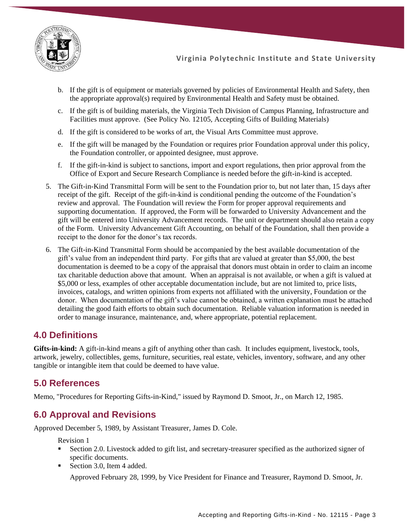

**Virginia Polytechnic Institute and State University**

- b. If the gift is of equipment or materials governed by policies of Environmental Health and Safety, then the appropriate approval(s) required by Environmental Health and Safety must be obtained.
- c. If the gift is of building materials, the Virginia Tech Division of Campus Planning, Infrastructure and Facilities must approve. (See Policy No. 12105, Accepting Gifts of Building Materials)
- d. If the gift is considered to be works of art, the Visual Arts Committee must approve.
- e. If the gift will be managed by the Foundation or requires prior Foundation approval under this policy, the Foundation controller, or appointed designee, must approve.
- f. If the gift-in-kind is subject to sanctions, import and export regulations, then prior approval from the Office of Export and Secure Research Compliance is needed before the gift-in-kind is accepted.
- 5. The Gift-in-Kind Transmittal Form will be sent to the Foundation prior to, but not later than, 15 days after receipt of the gift. Receipt of the gift-in-kind is conditional pending the outcome of the Foundation's review and approval. The Foundation will review the Form for proper approval requirements and supporting documentation. If approved, the Form will be forwarded to University Advancement and the gift will be entered into University Advancement records. The unit or department should also retain a copy of the Form. University Advancement Gift Accounting, on behalf of the Foundation, shall then provide a receipt to the donor for the donor's tax records.
- 6. The Gift-in-Kind Transmittal Form should be accompanied by the best available documentation of the gift's value from an independent third party. For gifts that are valued at greater than \$5,000, the best documentation is deemed to be a copy of the appraisal that donors must obtain in order to claim an income tax charitable deduction above that amount. When an appraisal is not available, or when a gift is valued at \$5,000 or less, examples of other acceptable documentation include, but are not limited to, price lists, invoices, catalogs, and written opinions from experts not affiliated with the university, Foundation or the donor. When documentation of the gift's value cannot be obtained, a written explanation must be attached detailing the good faith efforts to obtain such documentation. Reliable valuation information is needed in order to manage insurance, maintenance, and, where appropriate, potential replacement.

### **4.0 Definitions**

**Gifts-in-kind:** A gift-in-kind means a gift of anything other than cash. It includes equipment, livestock, tools, artwork, jewelry, collectibles, gems, furniture, securities, real estate, vehicles, inventory, software, and any other tangible or intangible item that could be deemed to have value.

## **5.0 References**

Memo, "Procedures for Reporting Gifts-in-Kind," issued by Raymond D. Smoot, Jr., on March 12, 1985.

## **6.0 Approval and Revisions**

Approved December 5, 1989, by Assistant Treasurer, James D. Cole.

Revision 1

- Section 2.0. Livestock added to gift list, and secretary-treasurer specified as the authorized signer of specific documents.
- Section 3.0, Item 4 added.

Approved February 28, 1999, by Vice President for Finance and Treasurer, Raymond D. Smoot, Jr.